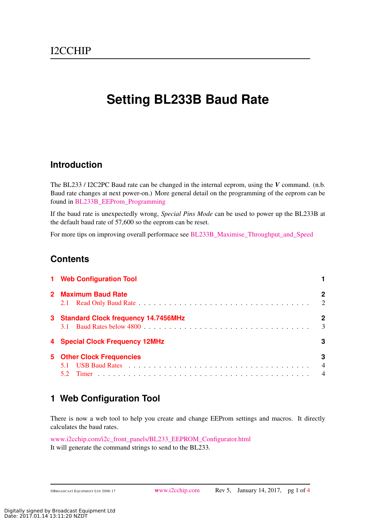# **Setting BL233B Baud Rate**

### **Introduction**

The BL233 / I2C2PC Baud rate can be changed in the internal eeprom, using the *V* command. (n.b. Baud rate changes at next power-on.) More general detail on the programming of the eeprom can be found in [BL233B\\_EEProm\\_Programming](http://www.i2cchip.com/pdfs/BL233B_EEProm_Programming.pdf)

If the baud rate is unexpectedly wrong, *Special Pins Mode* can be used to power up the BL233B at the default baud rate of 57,600 so the eeprom can be reset.

For more tips on improving overall performace see [BL233B\\_Maximise\\_Throughput\\_and\\_Speed](http://BL233B_Maximise_Throughput_and_Speed.pdf)

### **Contents**

| 1 Web Configuration Tool              |                                       |
|---------------------------------------|---------------------------------------|
| 2 Maximum Baud Rate                   | 2<br>2                                |
| 3 Standard Clock frequency 14.7456MHz | 2<br>3                                |
| 4 Special Clock Frequency 12MHz       | 3                                     |
| <b>5 Other Clock Frequencies</b>      | 3<br>$\overline{4}$<br>$\overline{4}$ |

### <span id="page-0-0"></span>**1 Web Configuration Tool**

There is now a web tool to help you create and change EEProm settings and macros. It directly calculates the baud rates.

[www.i2cchip.com/i2c\\_front\\_panels/BL233\\_EEPROM\\_Configurator.html](http://www.i2cchip.com/i2c_front_panels/BL233_EEPROM_Configurator.html) It will generate the command strings to send to the BL233.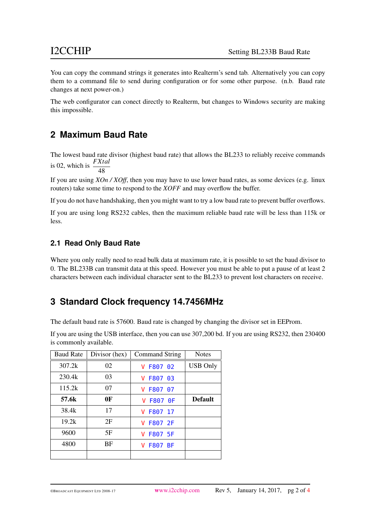You can copy the command strings it generates into Realterm's send tab. Alternatively you can copy them to a command file to send during configuration or for some other purpose. (n.b. Baud rate changes at next power-on.)

The web configurator can conect directly to Realterm, but changes to Windows security are making this impossible.

# <span id="page-1-0"></span>**2 Maximum Baud Rate**

The lowest baud rate divisor (highest baud rate) that allows the BL233 to reliably receive commands is 02, which is  $\frac{FXtal}{10}$ 48

If you are using *XOn / XOff*, then you may have to use lower baud rates, as some devices (e.g. linux routers) take some time to respond to the *XOFF* and may overflow the buffer.

If you do not have handshaking, then you might want to try a low baud rate to prevent buffer overflows.

If you are using long RS232 cables, then the maximum reliable baud rate will be less than 115k or less.

### <span id="page-1-1"></span>**2.1 Read Only Baud Rate**

Where you only really need to read bulk data at maximum rate, it is possible to set the baud divisor to 0. The BL233B can transmit data at this speed. However you must be able to put a pause of at least 2 characters between each individual character sent to the BL233 to prevent lost characters on receive.

### <span id="page-1-2"></span>**3 Standard Clock frequency 14.7456MHz**

The default baud rate is 57600. Baud rate is changed by changing the divisor set in EEProm.

If you are using the USB interface, then you can use 307,200 bd. If you are using RS232, then 230400 is commonly available.

| <b>Baud Rate</b> | Divisor (hex) | <b>Command String</b> | <b>Notes</b>    |
|------------------|---------------|-----------------------|-----------------|
| 307.2k           | 02            | V F807 02             | <b>USB Only</b> |
| 230.4k           | 03            | V F807 03             |                 |
| 115.2k           | 07            | V F807 07             |                 |
| 57.6k            | 0F            | V F807 0F             | <b>Default</b>  |
| 38.4k            | 17            | F807 17<br>v          |                 |
| 19.2k            | 2F            | V F807 2F             |                 |
| 9600             | 5F            | V F807 5F             |                 |
| 4800             | BF            | <b>V F807 BF</b>      |                 |
|                  |               |                       |                 |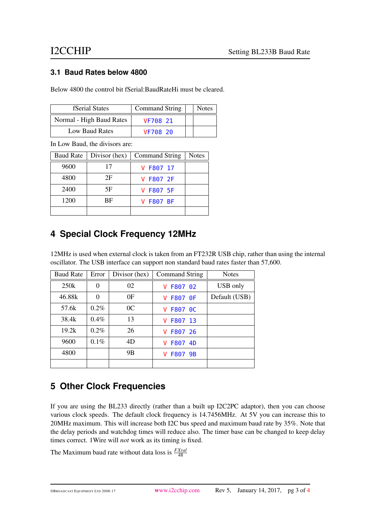### <span id="page-2-0"></span>**3.1 Baud Rates below 4800**

Below 4800 the control bit fSerial:BaudRateHi must be cleared.

| <b>fSerial States</b>    | Command String | <b>Notes</b> |
|--------------------------|----------------|--------------|
| Normal - High Baud Rates | VF708 21       |              |
| Low Baud Rates           | VF708 20       |              |

In Low Baud, the divisors are:

| <b>Baud Rate</b> | Divisor (hex) | Command String   | <b>Notes</b> |
|------------------|---------------|------------------|--------------|
| 9600             | 17            | V F807 17        |              |
| 4800             | 2F            | V F807 2F        |              |
| 2400             | 5F            | V F807 5F        |              |
| 1200             | <b>BF</b>     | <b>V F807 BF</b> |              |
|                  |               |                  |              |

# <span id="page-2-1"></span>**4 Special Clock Frequency 12MHz**

12MHz is used when external clock is taken from an FT232R USB chip, rather than using the internal oscillator. The USB interface can support non standard baud rates faster than 57,600.

| <b>Baud Rate</b> | Error    | Divisor (hex)  | Command String | <b>Notes</b>  |
|------------------|----------|----------------|----------------|---------------|
| 250k             | 0        | 02             | F807 02<br>v   | USB only      |
| 46.88k           | $\theta$ | 0 <sub>F</sub> | F807 0F<br>v   | Default (USB) |
| 57.6k            | $0.2\%$  | 0 <sup>C</sup> | V F807 0C      |               |
| 38.4k            | $0.4\%$  | 13             | F807 13<br>v   |               |
| 19.2k            | $0.2\%$  | 26             | F807 26<br>v   |               |
| 9600             | $0.1\%$  | 4D             | F807 4D<br>v   |               |
| 4800             |          | 9B             | F807 9B<br>v   |               |
|                  |          |                |                |               |

# <span id="page-2-2"></span>**5 Other Clock Frequencies**

If you are using the BL233 directly (rather than a built up I2C2PC adaptor), then you can choose various clock speeds. The default clock frequency is 14.7456MHz. At 5V you can increase this to 20MHz maximum. This will increase both I2C bus speed and maximum baud rate by 35%. Note that the delay periods and watchdog times will reduce also. The timer base can be changed to keep delay times correct. 1Wire will *not* work as its timing is fixed.

The Maximum baud rate without data loss is *FXtal* 48